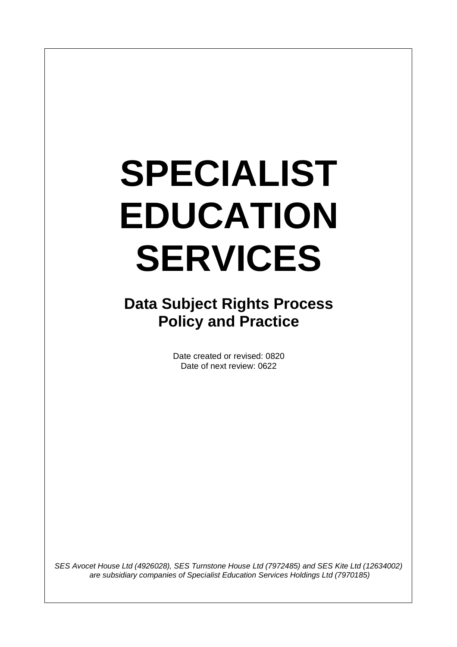# **SPECIALIST EDUCATION SERVICES**

**Data Subject Rights Process Policy and Practice**

> Date created or revised: 0820 Date of next review: 0622

*SES Avocet House Ltd (4926028), SES Turnstone House Ltd (7972485) and SES Kite Ltd (12634002) are subsidiary companies of Specialist Education Services Holdings Ltd (7970185)*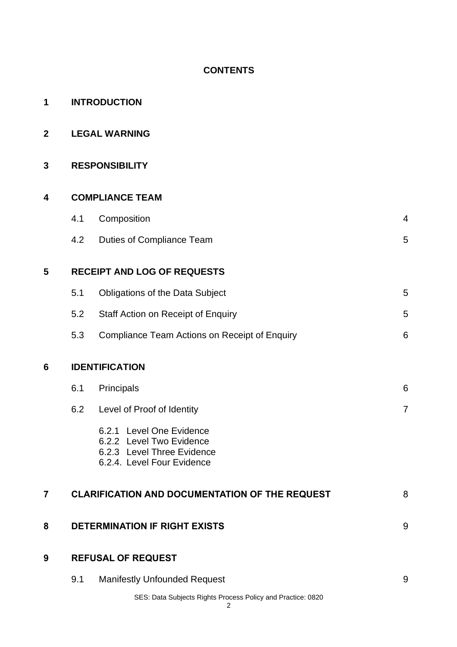# **CONTENTS**

| 1               | <b>INTRODUCTION</b>                  |                                                                                                                  |                |  |  |  |  |  |
|-----------------|--------------------------------------|------------------------------------------------------------------------------------------------------------------|----------------|--|--|--|--|--|
| $\overline{2}$  | <b>LEGAL WARNING</b>                 |                                                                                                                  |                |  |  |  |  |  |
| 3               | <b>RESPONSIBILITY</b>                |                                                                                                                  |                |  |  |  |  |  |
| 4               | <b>COMPLIANCE TEAM</b>               |                                                                                                                  |                |  |  |  |  |  |
|                 | 4.1                                  | Composition                                                                                                      | 4              |  |  |  |  |  |
|                 | 4.2                                  | <b>Duties of Compliance Team</b>                                                                                 | 5              |  |  |  |  |  |
| 5               | <b>RECEIPT AND LOG OF REQUESTS</b>   |                                                                                                                  |                |  |  |  |  |  |
|                 | 5.1                                  | <b>Obligations of the Data Subject</b>                                                                           | 5              |  |  |  |  |  |
|                 | 5.2                                  | <b>Staff Action on Receipt of Enquiry</b>                                                                        | 5              |  |  |  |  |  |
|                 | 5.3                                  | Compliance Team Actions on Receipt of Enquiry                                                                    | 6              |  |  |  |  |  |
| $6\phantom{1}6$ |                                      | <b>IDENTIFICATION</b>                                                                                            |                |  |  |  |  |  |
|                 | 6.1                                  | Principals                                                                                                       | 6              |  |  |  |  |  |
|                 | 6.2                                  | Level of Proof of Identity                                                                                       | $\overline{7}$ |  |  |  |  |  |
|                 |                                      | 6.2.1 Level One Evidence<br>6.2.2 Level Two Evidence<br>6.2.3 Level Three Evidence<br>6.2.4. Level Four Evidence |                |  |  |  |  |  |
| 7               |                                      | <b>CLARIFICATION AND DOCUMENTATION OF THE REQUEST</b><br>8                                                       |                |  |  |  |  |  |
| 8               | <b>DETERMINATION IF RIGHT EXISTS</b> |                                                                                                                  |                |  |  |  |  |  |
| 9               |                                      | <b>REFUSAL OF REQUEST</b>                                                                                        |                |  |  |  |  |  |
|                 | 9.1                                  | <b>Manifestly Unfounded Request</b>                                                                              | 9              |  |  |  |  |  |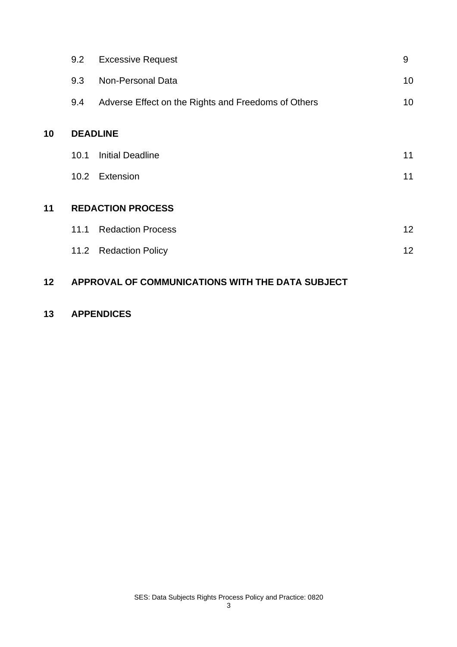|    | 9.2  | <b>Excessive Request</b>                            | 9  |  |  |  |  |
|----|------|-----------------------------------------------------|----|--|--|--|--|
|    | 9.3  | Non-Personal Data                                   | 10 |  |  |  |  |
|    | 9.4  | Adverse Effect on the Rights and Freedoms of Others | 10 |  |  |  |  |
| 10 |      | <b>DEADLINE</b>                                     |    |  |  |  |  |
|    | 10.1 | <b>Initial Deadline</b>                             | 11 |  |  |  |  |
|    |      | 10.2 Extension                                      | 11 |  |  |  |  |
| 11 |      | <b>REDACTION PROCESS</b>                            |    |  |  |  |  |
|    | 11.1 | <b>Redaction Process</b>                            | 12 |  |  |  |  |
|    | 11.2 | <b>Redaction Policy</b>                             | 12 |  |  |  |  |
| 12 |      | APPROVAL OF COMMUNICATIONS WITH THE DATA SUBJECT    |    |  |  |  |  |

# **13 APPENDICES**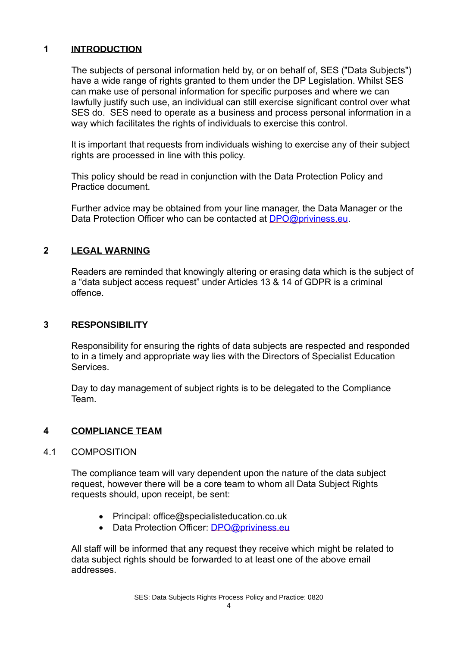## **1 INTRODUCTION**

The subjects of personal information held by, or on behalf of, SES ("Data Subjects") have a wide range of rights granted to them under the DP Legislation. Whilst SES can make use of personal information for specific purposes and where we can lawfully justify such use, an individual can still exercise significant control over what SES do. SES need to operate as a business and process personal information in a way which facilitates the rights of individuals to exercise this control.

It is important that requests from individuals wishing to exercise any of their subject rights are processed in line with this policy.

This policy should be read in conjunction with the Data Protection Policy and Practice document.

Further advice may be obtained from your line manager, the Data Manager or the Data Protection Officer who can be contacted at [DPO@priviness.eu.](mailto:DPO@priviness.eu)

# **2 LEGAL WARNING**

Readers are reminded that knowingly altering or erasing data which is the subject of a "data subject access request" under Articles 13 & 14 of GDPR is a criminal offence.

## **3 RESPONSIBILITY**

Responsibility for ensuring the rights of data subjects are respected and responded to in a timely and appropriate way lies with the Directors of Specialist Education **Services** 

Day to day management of subject rights is to be delegated to the Compliance Team.

# **4 COMPLIANCE TEAM**

## 4.1 COMPOSITION

The compliance team will vary dependent upon the nature of the data subject request, however there will be a core team to whom all Data Subject Rights requests should, upon receipt, be sent:

- Principal: office@specialisteducation.co.uk
- Data Protection Officer: [DPO@priviness.eu](mailto:DPO@priviness.eu)

All staff will be informed that any request they receive which might be related to data subject rights should be forwarded to at least one of the above email addresses.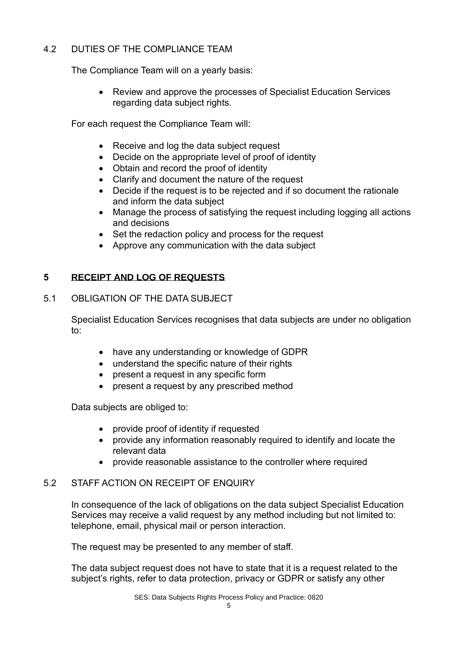# 4.2 DUTIES OF THE COMPLIANCE TEAM

The Compliance Team will on a yearly basis:

• Review and approve the processes of Specialist Education Services regarding data subject rights.

For each request the Compliance Team will:

- Receive and log the data subject request
- Decide on the appropriate level of proof of identity
- Obtain and record the proof of identity
- Clarify and document the nature of the request
- Decide if the request is to be rejected and if so document the rationale and inform the data subject
- Manage the process of satisfying the request including logging all actions and decisions
- Set the redaction policy and process for the request
- Approve any communication with the data subject

# **5 RECEIPT AND LOG OF REQUESTS**

# 5.1 OBLIGATION OF THE DATA SUBJECT

Specialist Education Services recognises that data subjects are under no obligation to:

- have any understanding or knowledge of GDPR
- understand the specific nature of their rights
- present a request in any specific form
- present a request by any prescribed method

Data subjects are obliged to:

- provide proof of identity if requested
- provide any information reasonably required to identify and locate the relevant data
- provide reasonable assistance to the controller where required

# 5.2 STAFF ACTION ON RECEIPT OF ENQUIRY

In consequence of the lack of obligations on the data subject Specialist Education Services may receive a valid request by any method including but not limited to: telephone, email, physical mail or person interaction.

The request may be presented to any member of staff.

The data subject request does not have to state that it is a request related to the subject's rights, refer to data protection, privacy or GDPR or satisfy any other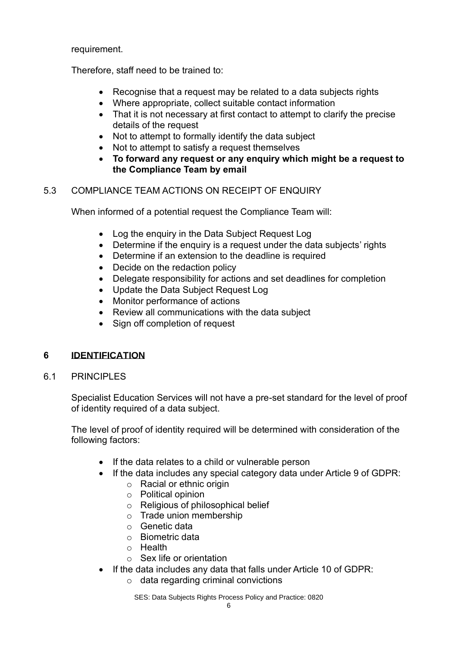requirement.

Therefore, staff need to be trained to:

- Recognise that a request may be related to a data subiects rights
- Where appropriate, collect suitable contact information
- That it is not necessary at first contact to attempt to clarify the precise details of the request
- Not to attempt to formally identify the data subject
- Not to attempt to satisfy a request themselves
- **To forward any request or any enquiry which might be a request to the Compliance Team by email**

# 5.3 COMPLIANCE TEAM ACTIONS ON RECEIPT OF ENQUIRY

When informed of a potential request the Compliance Team will:

- Log the enquiry in the Data Subiect Request Log
- Determine if the enquiry is a request under the data subjects' rights
- Determine if an extension to the deadline is required
- Decide on the redaction policy
- Delegate responsibility for actions and set deadlines for completion
- Update the Data Subject Request Log
- Monitor performance of actions
- Review all communications with the data subject
- Sign off completion of request

# **6 IDENTIFICATION**

6.1 PRINCIPLES

Specialist Education Services will not have a pre-set standard for the level of proof of identity required of a data subject.

The level of proof of identity required will be determined with consideration of the following factors:

- If the data relates to a child or vulnerable person
- If the data includes any special category data under Article 9 of GDPR:
	- o Racial or ethnic origin
	- o Political opinion
	- o Religious of philosophical belief
	- o Trade union membership
	- o Genetic data
	- o Biometric data
	- o Health
	- $\circ$  Sex life or orientation
- If the data includes any data that falls under Article 10 of GDPR:
	- $\circ$  data regarding criminal convictions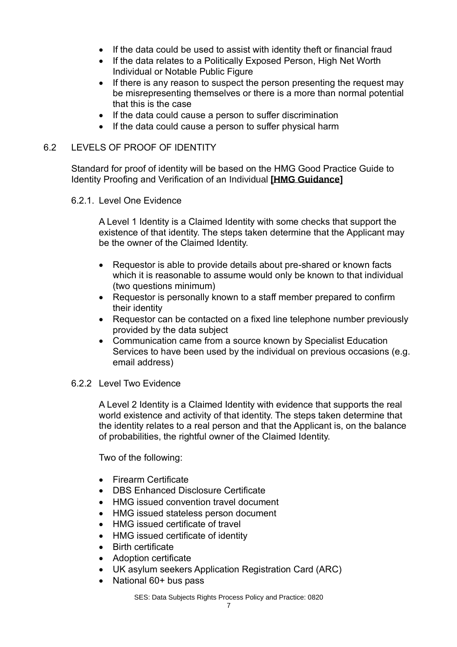- If the data could be used to assist with identity theft or financial fraud
- If the data relates to a Politically Exposed Person, High Net Worth Individual or Notable Public Figure
- If there is any reason to suspect the person presenting the request may be misrepresenting themselves or there is a more than normal potential that this is the case
- If the data could cause a person to suffer discrimination
- If the data could cause a person to suffer physical harm

#### 6.2 LEVELS OF PROOF OF IDENTITY

Standard for proof of identity will be based on the HMG Good Practice Guide to Identity Proofing and Verification of an Individual **[\[HMG Guidance\]](https://assets.publishing.service.gov.uk/government/uploads/system/uploads/attachment_data/file/720963/good_practice_guide_45_identity_proofing_version_3_february_2017.pdf)**

#### 6.2.1. Level One Evidence

A Level 1 Identity is a Claimed Identity with some checks that support the existence of that identity. The steps taken determine that the Applicant may be the owner of the Claimed Identity.

- Requestor is able to provide details about pre-shared or known facts which it is reasonable to assume would only be known to that individual (two questions minimum)
- Requestor is personally known to a staff member prepared to confirm their identity
- Requestor can be contacted on a fixed line telephone number previously provided by the data subject
- Communication came from a source known by Specialist Education Services to have been used by the individual on previous occasions (e.g. email address)

## 6.2.2 Level Two Evidence

A Level 2 Identity is a Claimed Identity with evidence that supports the real world existence and activity of that identity. The steps taken determine that the identity relates to a real person and that the Applicant is, on the balance of probabilities, the rightful owner of the Claimed Identity.

Two of the following:

- Firearm Certificate
- DBS Enhanced Disclosure Certificate
- HMG issued convention travel document
- HMG issued stateless person document
- HMG issued certificate of travel
- HMG issued certificate of identity
- Birth certificate
- Adoption certificate
- UK asylum seekers Application Registration Card (ARC)
- National 60+ bus pass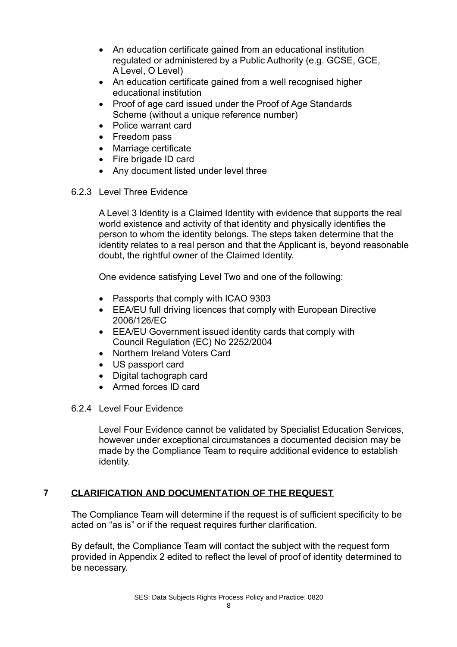- An education certificate gained from an educational institution regulated or administered by a Public Authority (e.g. GCSE, GCE, A Level, O Level)
- An education certificate gained from a well recognised higher educational institution
- Proof of age card issued under the Proof of Age Standards Scheme (without a unique reference number)
- Police warrant card
- Freedom pass
- Marriage certificate
- Fire brigade ID card
- Any document listed under level three
- 6.2.3 Level Three Evidence

A Level 3 Identity is a Claimed Identity with evidence that supports the real world existence and activity of that identity and physically identifies the person to whom the identity belongs. The steps taken determine that the identity relates to a real person and that the Applicant is, beyond reasonable doubt, the rightful owner of the Claimed Identity.

One evidence satisfying Level Two and one of the following:

- Passports that comply with ICAO 9303
- EEA/EU full driving licences that comply with European Directive 2006/126/EC
- EEA/EU Government issued identity cards that comply with Council Regulation (EC) No 2252/2004
- Northern Ireland Voters Card
- US passport card
- Digital tachograph card
- Armed forces ID card
- 6.2.4 Level Four Evidence

Level Four Evidence cannot be validated by Specialist Education Services, however under exceptional circumstances a documented decision may be made by the Compliance Team to require additional evidence to establish identity.

## **7 CLARIFICATION AND DOCUMENTATION OF THE REQUEST**

The Compliance Team will determine if the request is of sufficient specificity to be acted on "as is" or if the request requires further clarification.

By default, the Compliance Team will contact the subject with the request form provided in Appendix 2 edited to reflect the level of proof of identity determined to be necessary.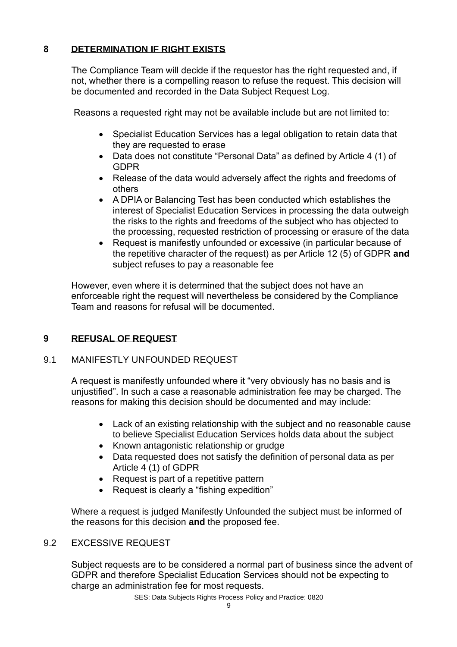# **8 DETERMINATION IF RIGHT EXISTS**

The Compliance Team will decide if the requestor has the right requested and, if not, whether there is a compelling reason to refuse the request. This decision will be documented and recorded in the Data Subject Request Log.

Reasons a requested right may not be available include but are not limited to:

- Specialist Education Services has a legal obligation to retain data that they are requested to erase
- Data does not constitute "Personal Data" as defined by Article 4 (1) of GDPR
- Release of the data would adversely affect the rights and freedoms of others
- A DPIA or Balancing Test has been conducted which establishes the interest of Specialist Education Services in processing the data outweigh the risks to the rights and freedoms of the subject who has objected to the processing, requested restriction of processing or erasure of the data
- Request is manifestly unfounded or excessive (in particular because of the repetitive character of the request) as per Article 12 (5) of GDPR **and** subject refuses to pay a reasonable fee

However, even where it is determined that the subject does not have an enforceable right the request will nevertheless be considered by the Compliance Team and reasons for refusal will be documented.

# **9 REFUSAL OF REQUEST**

# 9.1 MANIFESTLY UNFOUNDED REQUEST

A request is manifestly unfounded where it "very obviously has no basis and is unjustified". In such a case a reasonable administration fee may be charged. The reasons for making this decision should be documented and may include:

- Lack of an existing relationship with the subject and no reasonable cause to believe Specialist Education Services holds data about the subject
- Known antagonistic relationship or grudge
- Data requested does not satisfy the definition of personal data as per Article 4 (1) of GDPR
- Request is part of a repetitive pattern
- Request is clearly a "fishing expedition"

Where a request is judged Manifestly Unfounded the subject must be informed of the reasons for this decision **and** the proposed fee.

# 9.2 EXCESSIVE REQUEST

Subject requests are to be considered a normal part of business since the advent of GDPR and therefore Specialist Education Services should not be expecting to charge an administration fee for most requests.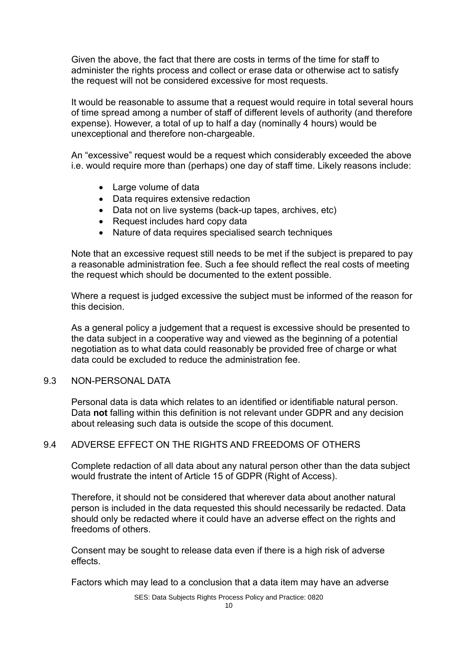Given the above, the fact that there are costs in terms of the time for staff to administer the rights process and collect or erase data or otherwise act to satisfy the request will not be considered excessive for most requests.

It would be reasonable to assume that a request would require in total several hours of time spread among a number of staff of different levels of authority (and therefore expense). However, a total of up to half a day (nominally 4 hours) would be unexceptional and therefore non-chargeable.

An "excessive" request would be a request which considerably exceeded the above i.e. would require more than (perhaps) one day of staff time. Likely reasons include:

- Large volume of data
- Data requires extensive redaction
- Data not on live systems (back-up tapes, archives, etc)
- Request includes hard copy data
- Nature of data requires specialised search techniques

Note that an excessive request still needs to be met if the subject is prepared to pay a reasonable administration fee. Such a fee should reflect the real costs of meeting the request which should be documented to the extent possible.

Where a request is judged excessive the subject must be informed of the reason for this decision.

As a general policy a judgement that a request is excessive should be presented to the data subject in a cooperative way and viewed as the beginning of a potential negotiation as to what data could reasonably be provided free of charge or what data could be excluded to reduce the administration fee.

#### 9.3 NON-PERSONAL DATA

Personal data is data which relates to an identified or identifiable natural person. Data **not** falling within this definition is not relevant under GDPR and any decision about releasing such data is outside the scope of this document.

#### 9.4 ADVERSE EFFECT ON THE RIGHTS AND FREEDOMS OF OTHERS

Complete redaction of all data about any natural person other than the data subject would frustrate the intent of Article 15 of GDPR (Right of Access).

Therefore, it should not be considered that wherever data about another natural person is included in the data requested this should necessarily be redacted. Data should only be redacted where it could have an adverse effect on the rights and freedoms of others.

Consent may be sought to release data even if there is a high risk of adverse effects.

Factors which may lead to a conclusion that a data item may have an adverse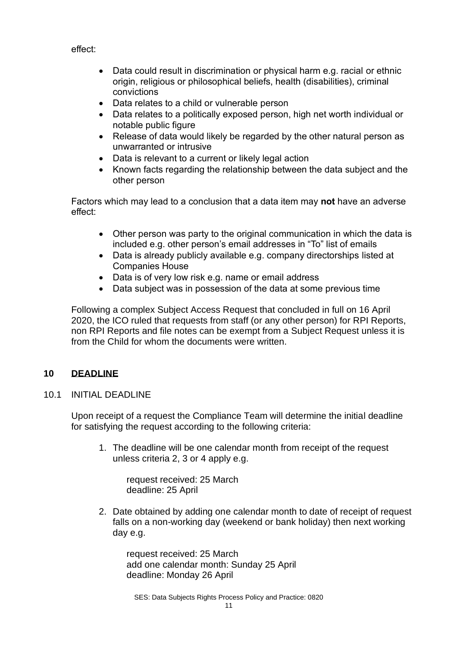effect:

- Data could result in discrimination or physical harm e.g. racial or ethnic origin, religious or philosophical beliefs, health (disabilities), criminal convictions
- Data relates to a child or vulnerable person
- Data relates to a politically exposed person, high net worth individual or notable public figure
- Release of data would likely be regarded by the other natural person as unwarranted or intrusive
- Data is relevant to a current or likely legal action
- Known facts regarding the relationship between the data subject and the other person

Factors which may lead to a conclusion that a data item may **not** have an adverse effect:

- Other person was party to the original communication in which the data is included e.g. other person's email addresses in "To" list of emails
- Data is already publicly available e.g. company directorships listed at Companies House
- Data is of very low risk e.g. name or email address
- Data subject was in possession of the data at some previous time

Following a complex Subject Access Request that concluded in full on 16 April 2020, the ICO ruled that requests from staff (or any other person) for RPI Reports, non RPI Reports and file notes can be exempt from a Subject Request unless it is from the Child for whom the documents were written.

## **10 DEADLINE**

10.1 INITIAL DEADLINE

Upon receipt of a request the Compliance Team will determine the initial deadline for satisfying the request according to the following criteria:

1. The deadline will be one calendar month from receipt of the request unless criteria 2, 3 or 4 apply e.g.

request received: 25 March deadline: 25 April

2. Date obtained by adding one calendar month to date of receipt of request falls on a non-working day (weekend or bank holiday) then next working day e.g.

request received: 25 March add one calendar month: Sunday 25 April deadline: Monday 26 April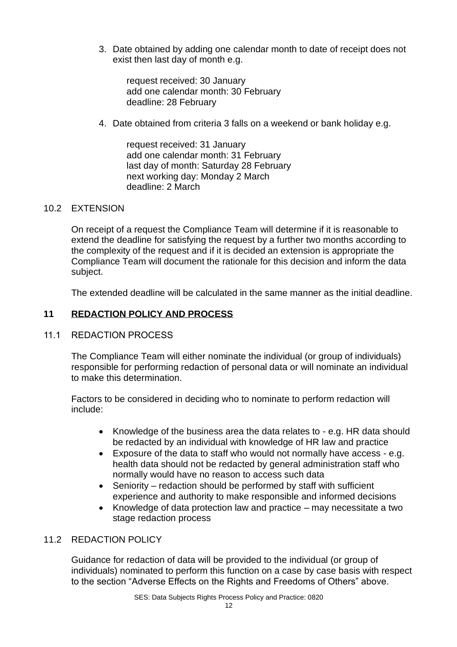3. Date obtained by adding one calendar month to date of receipt does not exist then last day of month e.g.

request received: 30 January add one calendar month: 30 February deadline: 28 February

4. Date obtained from criteria 3 falls on a weekend or bank holiday e.g.

request received: 31 January add one calendar month: 31 February last day of month: Saturday 28 February next working day: Monday 2 March deadline: 2 March

# 10.2 EXTENSION

On receipt of a request the Compliance Team will determine if it is reasonable to extend the deadline for satisfying the request by a further two months according to the complexity of the request and if it is decided an extension is appropriate the Compliance Team will document the rationale for this decision and inform the data subject.

The extended deadline will be calculated in the same manner as the initial deadline.

# **11 REDACTION POLICY AND PROCESS**

## 11.1 REDACTION PROCESS

The Compliance Team will either nominate the individual (or group of individuals) responsible for performing redaction of personal data or will nominate an individual to make this determination.

Factors to be considered in deciding who to nominate to perform redaction will include:

- Knowledge of the business area the data relates to e.g. HR data should be redacted by an individual with knowledge of HR law and practice
- Exposure of the data to staff who would not normally have access e.g. health data should not be redacted by general administration staff who normally would have no reason to access such data
- Seniority redaction should be performed by staff with sufficient experience and authority to make responsible and informed decisions
- Knowledge of data protection law and practice may necessitate a two stage redaction process

## 11.2 REDACTION POLICY

Guidance for redaction of data will be provided to the individual (or group of individuals) nominated to perform this function on a case by case basis with respect to the section "Adverse Effects on the Rights and Freedoms of Others" above.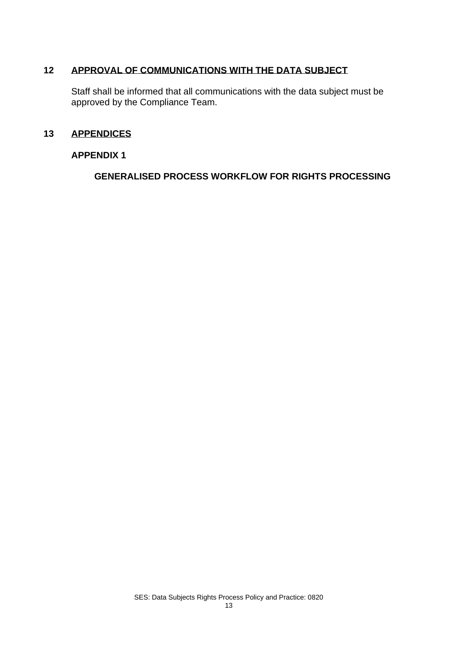# **12 APPROVAL OF COMMUNICATIONS WITH THE DATA SUBJECT**

Staff shall be informed that all communications with the data subject must be approved by the Compliance Team.

## **13 APPENDICES**

#### **APPENDIX 1**

**GENERALISED PROCESS WORKFLOW FOR RIGHTS PROCESSING**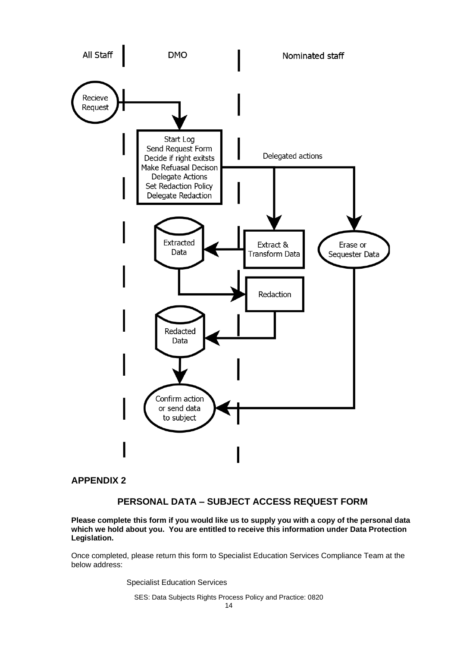

#### **APPENDIX 2**

# **PERSONAL DATA – SUBJECT ACCESS REQUEST FORM**

**Please complete this form if you would like us to supply you with a copy of the personal data which we hold about you. You are entitled to receive this information under Data Protection Legislation.**

Once completed, please return this form to Specialist Education Services Compliance Team at the below address:

Specialist Education Services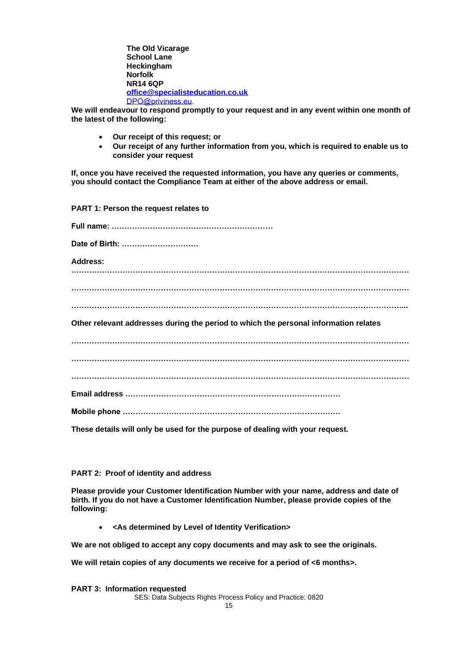**The Old Vicarage School Lane Heckingham Norfolk NR14 6QP [office@specialisteducation.co.uk](mailto:office@specialisteducation.co.uk)** [DPO@priviness.eu.](mailto:DPO@priviness.eu)

**We will endeavour to respond promptly to your request and in any event within one month of the latest of the following:**

- **Our receipt of this request; or**
- **Our receipt of any further information from you, which is required to enable us to consider your request**

**If, once you have received the requested information, you have any queries or comments, you should contact the Compliance Team at either of the above address or email.**

**PART 1: Person the request relates to Full name: ……………………………………………………… Date of Birth: ………………………… Address: …………………………………………………………………………………………………………………… …………………………………………………………………………………………………………………… …………………………………………………………………………………………………………………... Other relevant addresses during the period to which the personal information relates …………………………………………………………………………………………………………………… …………………………………………………………………………………………………………………… …………………………………………………………………………………………………………………… Email address ………………………………………………………………………… Mobile phone ………………………………………………………………………….**

**These details will only be used for the purpose of dealing with your request.**

#### **PART 2: Proof of identity and address**

**Please provide your Customer Identification Number with your name, address and date of birth. If you do not have a Customer Identification Number, please provide copies of the following:**

• **<As determined by Level of Identity Verification>**

**We are not obliged to accept any copy documents and may ask to see the originals.** 

**We will retain copies of any documents we receive for a period of <6 months>.**

**PART 3: Information requested**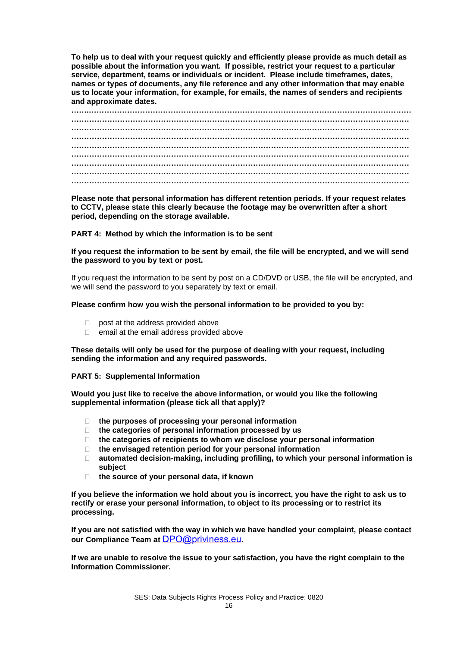**To help us to deal with your request quickly and efficiently please provide as much detail as possible about the information you want. If possible, restrict your request to a particular service, department, teams or individuals or incident. Please include timeframes, dates, names or types of documents, any file reference and any other information that may enable us to locate your information, for example, for emails, the names of senders and recipients and approximate dates.**

**Please note that personal information has different retention periods. If your request relates to CCTV, please state this clearly because the footage may be overwritten after a short period, depending on the storage available.**

**PART 4: Method by which the information is to be sent**

**If you request the information to be sent by email, the file will be encrypted, and we will send the password to you by text or post.**

If you request the information to be sent by post on a CD/DVD or USB, the file will be encrypted, and we will send the password to you separately by text or email.

**Please confirm how you wish the personal information to be provided to you by:**

- **post at the address provided above**
- $\Box$  email at the email address provided above

**These details will only be used for the purpose of dealing with your request, including sending the information and any required passwords.**

**PART 5: Supplemental Information**

**Would you just like to receive the above information, or would you like the following supplemental information (please tick all that apply)?**

- **the purposes of processing your personal information**
- **the categories of personal information processed by us**
- **the categories of recipients to whom we disclose your personal information**
- **the envisaged retention period for your personal information**
- **automated decision-making, including profiling, to which your personal information is subject**
- **the source of your personal data, if known**

**If you believe the information we hold about you is incorrect, you have the right to ask us to rectify or erase your personal information, to object to its processing or to restrict its processing.**

**If you are not satisfied with the way in which we have handled your complaint, please contact our Compliance Team at** [DPO@priviness.eu.](mailto:DPO@priviness.eu)

**If we are unable to resolve the issue to your satisfaction, you have the right complain to the Information Commissioner.**